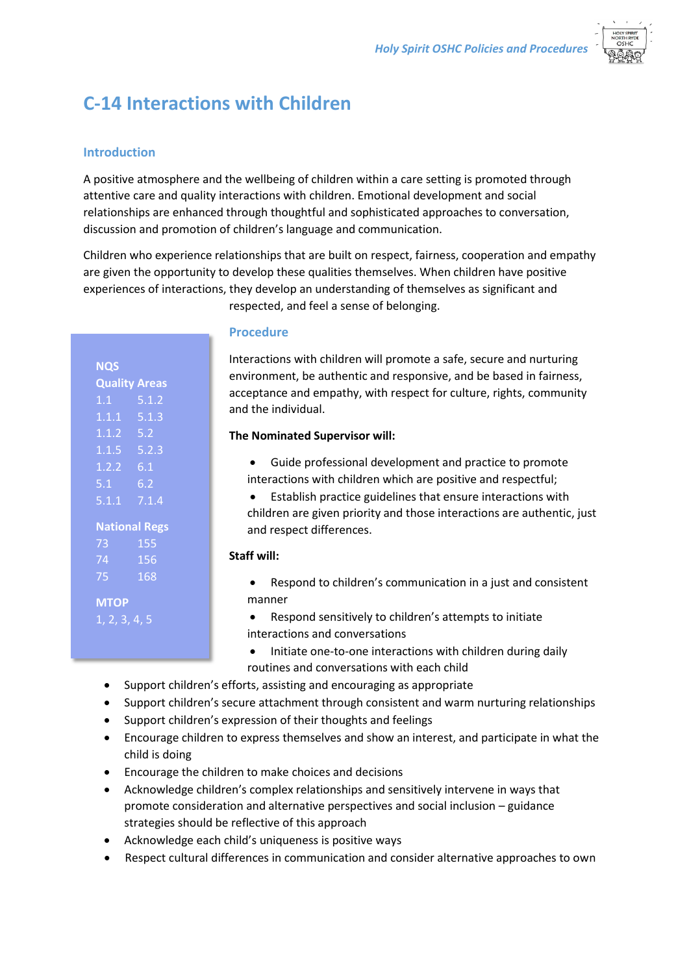

# **C-14 Interactions with Children**

## **Introduction**

A positive atmosphere and the wellbeing of children within a care setting is promoted through attentive care and quality interactions with children. Emotional development and social relationships are enhanced through thoughtful and sophisticated approaches to conversation, discussion and promotion of children's language and communication.

Children who experience relationships that are built on respect, fairness, cooperation and empathy are given the opportunity to develop these qualities themselves. When children have positive experiences of interactions, they develop an understanding of themselves as significant and respected, and feel a sense of belonging.

| <b>NQS</b><br><b>Quality Areas</b><br>5.1.2<br>1.1<br>$1.1.1$ $5.1.3$<br>$1.1.2$ 5.2<br>$1.1.5$ 5.2.3<br>$1.2.2 \quad 6.1$<br>5.1<br>6.2<br>$5.1.1$ $7.1.4$<br><b>National Regs</b> |  |
|-------------------------------------------------------------------------------------------------------------------------------------------------------------------------------------|--|
|                                                                                                                                                                                     |  |
|                                                                                                                                                                                     |  |
|                                                                                                                                                                                     |  |
|                                                                                                                                                                                     |  |
|                                                                                                                                                                                     |  |
|                                                                                                                                                                                     |  |
|                                                                                                                                                                                     |  |
|                                                                                                                                                                                     |  |
|                                                                                                                                                                                     |  |
|                                                                                                                                                                                     |  |
|                                                                                                                                                                                     |  |
| 155<br>73.                                                                                                                                                                          |  |
| 74<br>156                                                                                                                                                                           |  |
| 168<br>75                                                                                                                                                                           |  |
|                                                                                                                                                                                     |  |
| <b>MTOP</b>                                                                                                                                                                         |  |
| 1, 2, 3, 4, 5                                                                                                                                                                       |  |
|                                                                                                                                                                                     |  |

## **Procedure**

Interactions with children will promote a safe, secure and nurturing environment, be authentic and responsive, and be based in fairness, acceptance and empathy, with respect for culture, rights, community and the individual.

## **The Nominated Supervisor will:**

- Guide professional development and practice to promote interactions with children which are positive and respectful;
- Establish practice guidelines that ensure interactions with children are given priority and those interactions are authentic, just and respect differences.

### **Staff will:**

- Respond to children's communication in a just and consistent manner
- Respond sensitively to children's attempts to initiate interactions and conversations
- Initiate one-to-one interactions with children during daily routines and conversations with each child
- Support children's efforts, assisting and encouraging as appropriate
- Support children's secure attachment through consistent and warm nurturing relationships
- Support children's expression of their thoughts and feelings
- Encourage children to express themselves and show an interest, and participate in what the child is doing
- Encourage the children to make choices and decisions
- Acknowledge children's complex relationships and sensitively intervene in ways that promote consideration and alternative perspectives and social inclusion – guidance strategies should be reflective of this approach
- Acknowledge each child's uniqueness is positive ways
- Respect cultural differences in communication and consider alternative approaches to own